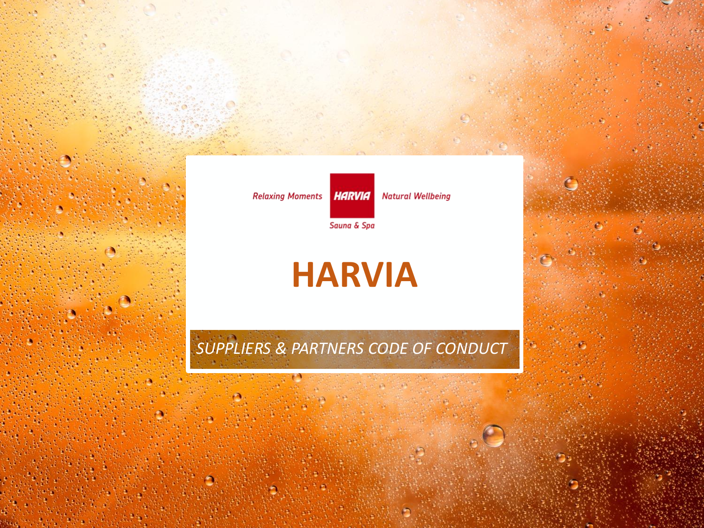**Relaxing Moments** HARVIA

**Natural Wellbeing** 

Sauna & Spa

# **HARVIA**

## *SUPPLIERS & PARTNERS CODE OF CONDUCT*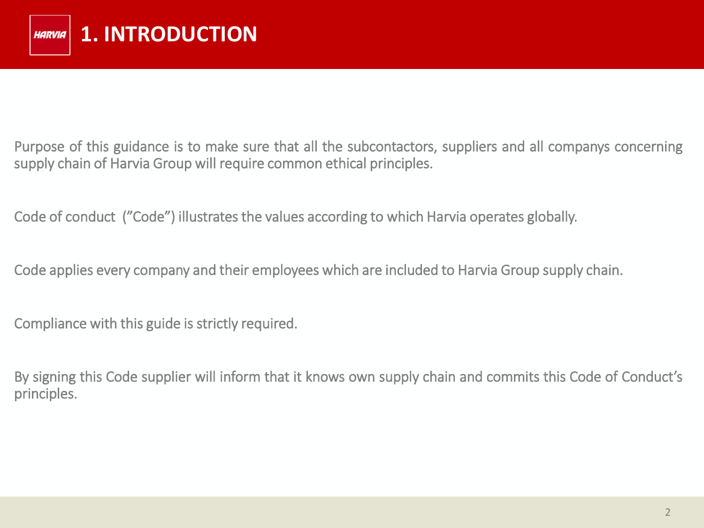Purpose of this guidance is to make sure that all the subcontactors, suppliers and all companys concerning supply chain of Harvia Group will require common ethical principles.

Code of conduct ("Code") illustrates the values according to which Harvia operates globally.

Code applies every company and their employees which are included to Harvia Group supply chain.

Compliance with this guide is strictly required.

By signing this Code supplier will inform that it knows own supply chain and commits this Code of Conduct's principles.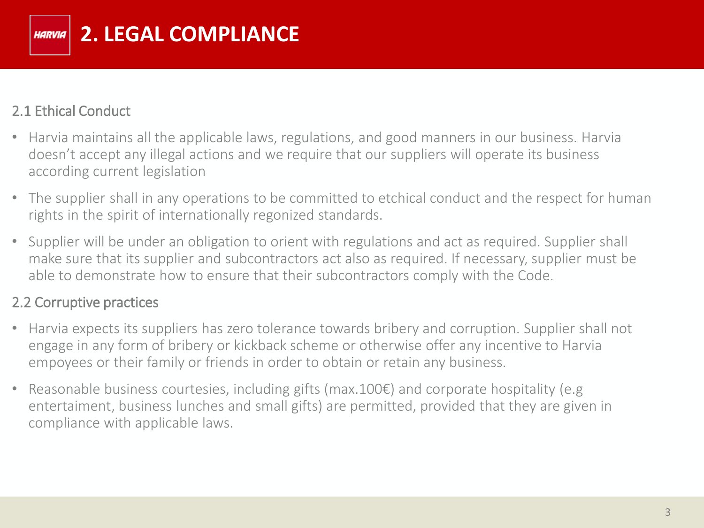

#### 2.1 Ethical Conduct

- Harvia maintains all the applicable laws, regulations, and good manners in our business. Harvia doesn't accept any illegal actions and we require that our suppliers will operate its business according current legislation
- The supplier shall in any operations to be committed to etchical conduct and the respect for human rights in the spirit of internationally regonized standards.
- Supplier will be under an obligation to orient with regulations and act as required. Supplier shall make sure that its supplier and subcontractors act also as required. If necessary, supplier must be able to demonstrate how to ensure that their subcontractors comply with the Code.

#### 2.2 Corruptive practices

- Harvia expects its suppliers has zero tolerance towards bribery and corruption. Supplier shall not engage in any form of bribery or kickback scheme or otherwise offer any incentive to Harvia empoyees or their family or friends in order to obtain or retain any business.
- Reasonable business courtesies, including gifts (max.100€) and corporate hospitality (e.g entertaiment, business lunches and small gifts) are permitted, provided that they are given in compliance with applicable laws.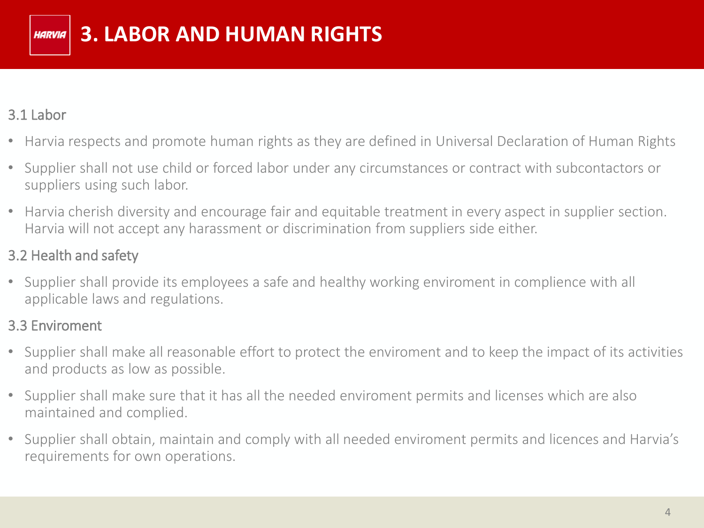#### 3.1 Labor

- Harvia respects and promote human rights as they are defined in Universal Declaration of Human Rights
- Supplier shall not use child or forced labor under any circumstances or contract with subcontactors or suppliers using such labor.
- Harvia cherish diversity and encourage fair and equitable treatment in every aspect in supplier section. Harvia will not accept any harassment or discrimination from suppliers side either.

### 3.2 Health and safety

• Supplier shall provide its employees a safe and healthy working enviroment in complience with all applicable laws and regulations.

#### 3.3 Enviroment

- Supplier shall make all reasonable effort to protect the enviroment and to keep the impact of its activities and products as low as possible.
- Supplier shall make sure that it has all the needed enviroment permits and licenses which are also maintained and complied.
- Supplier shall obtain, maintain and comply with all needed enviroment permits and licences and Harvia's requirements for own operations.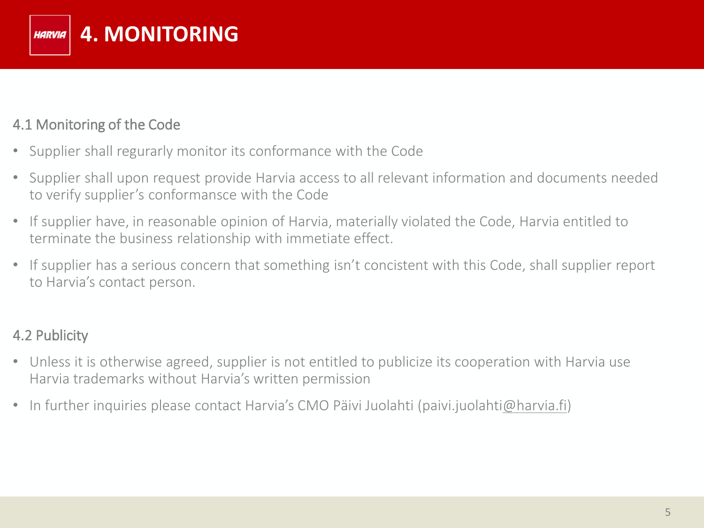

#### 4.1 Monitoring of the Code

- Supplier shall regurarly monitor its conformance with the Code
- Supplier shall upon request provide Harvia access to all relevant information and documents needed to verify supplier's conformansce with the Code
- If supplier have, in reasonable opinion of Harvia, materially violated the Code, Harvia entitled to terminate the business relationship with immetiate effect.
- If supplier has a serious concern that something isn't concistent with this Code, shall supplier report to Harvia's contact person.

#### 4.2 Publicity

- Unless it is otherwise agreed, supplier is not entitled to publicize its cooperation with Harvia use Harvia trademarks without Harvia's written permission
- In further inquiries please contact Harvia's CMO Päivi Juolahti (paivi.juolahti[@harvia.fi\)](mailto:sami.linna@harvia.fi)